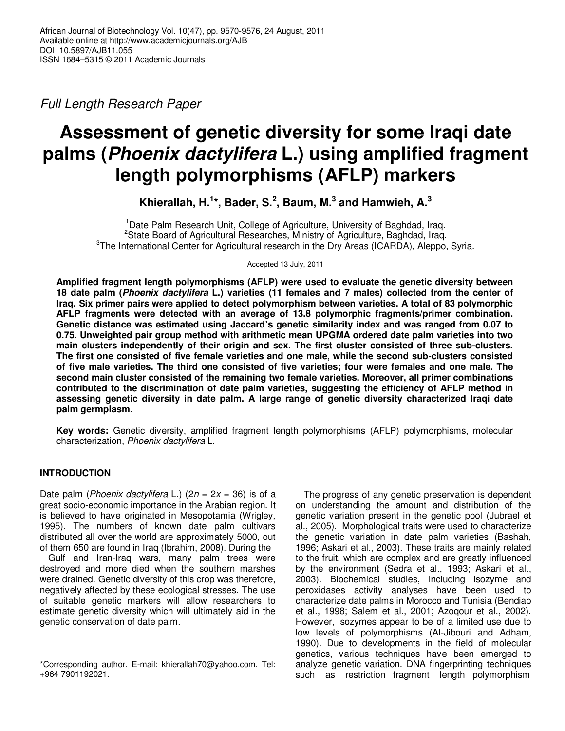Full Length Research Paper

# **Assessment of genetic diversity for some Iraqi date palms (Phoenix dactylifera L.) using amplified fragment length polymorphisms (AFLP) markers**

**Khierallah, H.<sup>1</sup> \*, Bader, S.<sup>2</sup> , Baum, M.<sup>3</sup> and Hamwieh, A.<sup>3</sup>**

<sup>1</sup>Date Palm Research Unit, College of Agriculture, University of Baghdad, Iraq. <sup>2</sup>State Board of Agricultural Researches, Ministry of Agriculture, Baghdad, Iraq. <sup>3</sup>The International Center for Agricultural research in the Dry Areas (ICARDA), Aleppo, Syria.

Accepted 13 July, 2011

**Amplified fragment length polymorphisms (AFLP) were used to evaluate the genetic diversity between 18 date palm (Phoenix dactylifera L.) varieties (11 females and 7 males) collected from the center of Iraq. Six primer pairs were applied to detect polymorphism between varieties. A total of 83 polymorphic AFLP fragments were detected with an average of 13.8 polymorphic fragments/primer combination. Genetic distance was estimated using Jaccard's genetic similarity index and was ranged from 0.07 to 0.75. Unweighted pair group method with arithmetic mean UPGMA ordered date palm varieties into two main clusters independently of their origin and sex. The first cluster consisted of three sub-clusters. The first one consisted of five female varieties and one male, while the second sub-clusters consisted of five male varieties. The third one consisted of five varieties; four were females and one male. The second main cluster consisted of the remaining two female varieties. Moreover, all primer combinations contributed to the discrimination of date palm varieties, suggesting the efficiency of AFLP method in assessing genetic diversity in date palm. A large range of genetic diversity characterized Iraqi date palm germplasm.** 

**Key words:** Genetic diversity, amplified fragment length polymorphisms (AFLP) polymorphisms, molecular characterization, Phoenix dactylifera L.

# **INTRODUCTION**

Date palm (*Phoenix dactylifera* L.)  $(2n = 2x = 36)$  is of a great socio-economic importance in the Arabian region. It is believed to have originated in Mesopotamia (Wrigley, 1995). The numbers of known date palm cultivars distributed all over the world are approximately 5000, out of them 650 are found in Iraq (Ibrahim, 2008). During the

Gulf and Iran-Iraq wars, many palm trees were destroyed and more died when the southern marshes were drained. Genetic diversity of this crop was therefore, negatively affected by these ecological stresses. The use of suitable genetic markers will allow researchers to estimate genetic diversity which will ultimately aid in the genetic conservation of date palm.

The progress of any genetic preservation is dependent on understanding the amount and distribution of the genetic variation present in the genetic pool (Jubrael et al., 2005). Morphological traits were used to characterize the genetic variation in date palm varieties (Bashah, 1996; Askari et al., 2003). These traits are mainly related to the fruit, which are complex and are greatly influenced by the environment (Sedra et al., 1993; Askari et al., 2003). Biochemical studies, including isozyme and peroxidases activity analyses have been used to characterize date palms in Morocco and Tunisia (Bendiab et al., 1998; Salem et al., 2001; Azoqour et al., 2002). However, isozymes appear to be of a limited use due to low levels of polymorphisms (Al-Jibouri and Adham, 1990). Due to developments in the field of molecular genetics, various techniques have been emerged to analyze genetic variation. DNA fingerprinting techniques such as restriction fragment length polymorphism

<sup>\*</sup>Corresponding author. E-mail: khierallah70@yahoo.com. Tel: +964 7901192021.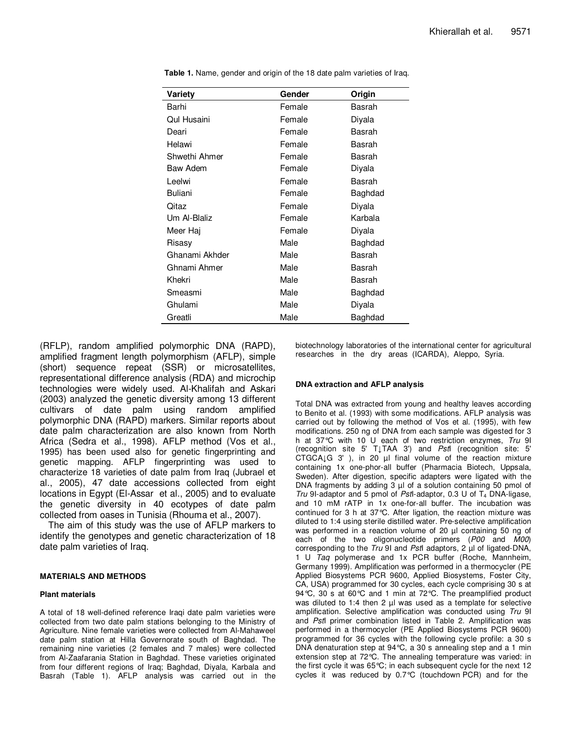| Variety        | Gender | Origin  |
|----------------|--------|---------|
| Barhi          | Female | Basrah  |
| Qul Husaini    | Female | Diyala  |
| Deari          | Female | Basrah  |
| Helawi         | Female | Basrah  |
| Shwethi Ahmer  | Female | Basrah  |
| Baw Adem       | Female | Diyala  |
| Leelwi         | Female | Basrah  |
| <b>Buliani</b> | Female | Baghdad |
| Qitaz          | Female | Diyala  |
| Um Al-Blaliz   | Female | Karbala |
| Meer Haj       | Female | Diyala  |
| Risasy         | Male   | Baghdad |
| Ghanami Akhder | Male   | Basrah  |
| Ghnami Ahmer   | Male   | Basrah  |
| Khekri         | Male   | Basrah  |
| Smeasmi        | Male   | Baghdad |
| Ghulami        | Male   | Diyala  |
| Greatli        | Male   | Baghdad |

Table 1. Name, gender and origin of the 18 date palm varieties of Iraq.

(RFLP), random amplified polymorphic DNA (RAPD), amplified fragment length polymorphism (AFLP), simple (short) sequence repeat (SSR) or microsatellites, representational difference analysis (RDA) and microchip technologies were widely used. Al-Khalifah and Askari (2003) analyzed the genetic diversity among 13 different cultivars of date palm using random amplified polymorphic DNA (RAPD) markers. Similar reports about date palm characterization are also known from North Africa (Sedra et al., 1998). AFLP method (Vos et al., 1995) has been used also for genetic fingerprinting and genetic mapping. AFLP fingerprinting was used to characterize 18 varieties of date palm from Iraq (Jubrael et al., 2005), 47 date accessions collected from eight locations in Egypt (El-Assar et al., 2005) and to evaluate the genetic diversity in 40 ecotypes of date palm collected from oases in Tunisia (Rhouma et al., 2007).

The aim of this study was the use of AFLP markers to identify the genotypes and genetic characterization of 18 date palm varieties of Iraq.

# **MATERIALS AND METHODS**

# **Plant materials**

A total of 18 well-defined reference Iraqi date palm varieties were collected from two date palm stations belonging to the Ministry of Agriculture. Nine female varieties were collected from Al-Mahaweel date palm station at Hilla Governorate south of Baghdad. The remaining nine varieties (2 females and 7 males) were collected from Al-Zaafarania Station in Baghdad. These varieties originated from four different regions of Iraq; Baghdad, Diyala, Karbala and Basrah (Table 1). AFLP analysis was carried out in the

biotechnology laboratories of the international center for agricultural researches in the dry areas (ICARDA), Aleppo, Syria.

#### **DNA extraction and AFLP analysis**

Total DNA was extracted from young and healthy leaves according to Benito et al. (1993) with some modifications. AFLP analysis was carried out by following the method of Vos et al. (1995), with few modifications. 250 ng of DNA from each sample was digested for 3 h at 37°C with 10 U each of two restriction enzymes, Tru 9I (recognition site 5' T**↓**TAA 3') and PstI (recognition site: 5' CTGCA**↓**G 3' ), in 20 µl final volume of the reaction mixture containing 1x one-phor-all buffer (Pharmacia Biotech, Uppsala, Sweden). After digestion, specific adapters were ligated with the DNA fragments by adding 3 µl of a solution containing 50 pmol of Tru 9I-adaptor and 5 pmol of PstI-adaptor, 0.3 U of  $T_4$  DNA-ligase, and 10 mM rATP in 1x one-for-all buffer. The incubation was continued for 3 h at 37°C. After ligation, the reaction mixture was diluted to 1:4 using sterile distilled water. Pre-selective amplification was performed in a reaction volume of 20 µl containing 50 ng of each of the two oligonucleotide primers (P00 and M00) corresponding to the  $Tru$  9I and PstI adaptors, 2  $\mu$ I of ligated-DNA, 1 U Taq polymerase and 1x PCR buffer (Roche, Mannheim, Germany 1999). Amplification was performed in a thermocycler (PE Applied Biosystems PCR 9600, Applied Biosystems, Foster City, CA, USA) programmed for 30 cycles, each cycle comprising 30 s at 94°C, 30 s at 60°C and 1 min at 72°C. The preamplified product was diluted to 1:4 then 2 µl was used as a template for selective amplification. Selective amplification was conducted using Tru 9I and PstI primer combination listed in Table 2. Amplification was performed in a thermocycler (PE Applied Biosystems PCR 9600) programmed for 36 cycles with the following cycle profile: a 30 s DNA denaturation step at 94°C, a 30 s annealing step and a 1 min extension step at 72°C. The annealing temperature was varied: in the first cycle it was 65°C; in each subsequent cycle for the next 12 cycles it was reduced by 0.7°C (touchdown PCR) and for the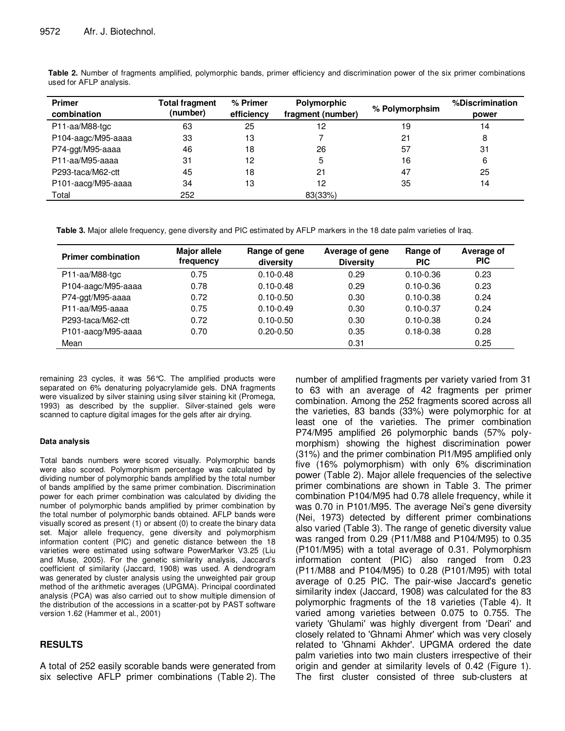| <b>Primer</b><br>combination | <b>Total fragment</b><br>(number) | % Primer<br>efficiency | Polymorphic<br>fragment (number) | % Polymorphsim | %Discrimination<br>power |  |
|------------------------------|-----------------------------------|------------------------|----------------------------------|----------------|--------------------------|--|
| P11-aa/M88-tgc               | 63                                | 25                     | 12                               | 19             | 14                       |  |
| P104-aagc/M95-aaaa           | 33                                | 13                     |                                  | 21             | 8                        |  |
| P74-ggt/M95-aaaa             | 46                                | 18                     | 26                               | 57             | 31                       |  |
| P11-aa/M95-aaaa              | 31                                | 12                     | 5                                | 16             | 6                        |  |
| P293-taca/M62-ctt            | 45                                | 18                     | 21                               | 47             | 25                       |  |
| P101-aacg/M95-aaaa           | 34                                | 13                     | 12                               | 35             | 14                       |  |
| Total                        | 252                               |                        | 83(33%)                          |                |                          |  |

**Table 2.** Number of fragments amplified, polymorphic bands, primer efficiency and discrimination power of the six primer combinations used for AFLP analysis.

**Table 3.** Major allele frequency, gene diversity and PIC estimated by AFLP markers in the 18 date palm varieties of Iraq.

| <b>Primer combination</b> | <b>Major allele</b><br>frequency | Range of gene<br>diversity | Average of gene<br><b>Diversity</b> | Range of<br><b>PIC</b> | Average of<br><b>PIC</b> |  |
|---------------------------|----------------------------------|----------------------------|-------------------------------------|------------------------|--------------------------|--|
| P11-aa/M88-tgc            | 0.75                             | $0.10 - 0.48$              | 0.29                                | $0.10 - 0.36$          | 0.23                     |  |
| P104-aagc/M95-aaaa        | 0.78                             | $0.10 - 0.48$              | 0.29                                | $0.10 - 0.36$          | 0.23                     |  |
| P74-ggt/M95-aaaa          | 0.72                             | $0.10 - 0.50$              | 0.30                                | $0.10 - 0.38$          | 0.24                     |  |
| P11-aa/M95-aaaa           | 0.75                             | $0.10 - 0.49$              | 0.30                                | $0.10 - 0.37$          | 0.24                     |  |
| P293-taca/M62-ctt         | 0.72                             | $0.10 - 0.50$              | 0.30                                | $0.10 - 0.38$          | 0.24                     |  |
| P101-aacg/M95-aaaa        | 0.70                             | $0.20 - 0.50$              | 0.35                                | $0.18 - 0.38$          | 0.28                     |  |
| Mean                      |                                  |                            | 0.31                                |                        | 0.25                     |  |

remaining 23 cycles, it was 56°C. The amplified products were separated on 6% denaturing polyacrylamide gels. DNA fragments were visualized by silver staining using silver staining kit (Promega, 1993) as described by the supplier. Silver-stained gels were scanned to capture digital images for the gels after air drying.

# **Data analysis**

Total bands numbers were scored visually. Polymorphic bands were also scored. Polymorphism percentage was calculated by dividing number of polymorphic bands amplified by the total number of bands amplified by the same primer combination. Discrimination power for each primer combination was calculated by dividing the number of polymorphic bands amplified by primer combination by the total number of polymorphic bands obtained. AFLP bands were visually scored as present (1) or absent (0) to create the binary data set. Major allele frequency, gene diversity and polymorphism information content (PIC) and genetic distance between the 18 varieties were estimated using software PowerMarker V3.25 (Liu and Muse, 2005). For the genetic similarity analysis, Jaccard's coefficient of similarity (Jaccard, 1908) was used. A dendrogram was generated by cluster analysis using the unweighted pair group method of the arithmetic averages (UPGMA). Principal coordinated analysis (PCA) was also carried out to show multiple dimension of the distribution of the accessions in a scatter-pot by PAST software version 1.62 (Hammer et al., 2001)

# **RESULTS**

A total of 252 easily scorable bands were generated from six selective AFLP primer combinations (Table 2). The

number of amplified fragments per variety varied from 31 to 63 with an average of 42 fragments per primer combination. Among the 252 fragments scored across all the varieties, 83 bands (33%) were polymorphic for at least one of the varieties. The primer combination P74/M95 amplified 26 polymorphic bands (57% polymorphism) showing the highest discrimination power (31%) and the primer combination Pl1/M95 amplified only five (16% polymorphism) with only 6% discrimination power (Table 2). Major allele frequencies of the selective primer combinations are shown in Table 3. The primer combination P104/M95 had 0.78 allele frequency, while it was 0.70 in P101/M95. The average Nei's gene diversity (Nei, 1973) detected by different primer combinations also varied (Table 3). The range of genetic diversity value was ranged from 0.29 (P11/M88 and P104/M95) to 0.35 (P101/M95) with a total average of 0.31. Polymorphism information content (PIC) also ranged from 0.23 (P11/M88 and P104/M95) to 0.28 (P101/M95) with total average of 0.25 PIC. The pair-wise Jaccard's genetic similarity index (Jaccard, 1908) was calculated for the 83 polymorphic fragments of the 18 varieties (Table 4). It varied among varieties between 0.075 to 0.755. The variety 'Ghulami' was highly divergent from 'Deari' and closely related to 'Ghnami Ahmer' which was very closely related to 'Ghnami Akhder'. UPGMA ordered the date palm varieties into two main clusters irrespective of their origin and gender at similarity levels of 0.42 (Figure 1). The first cluster consisted of three sub-clusters at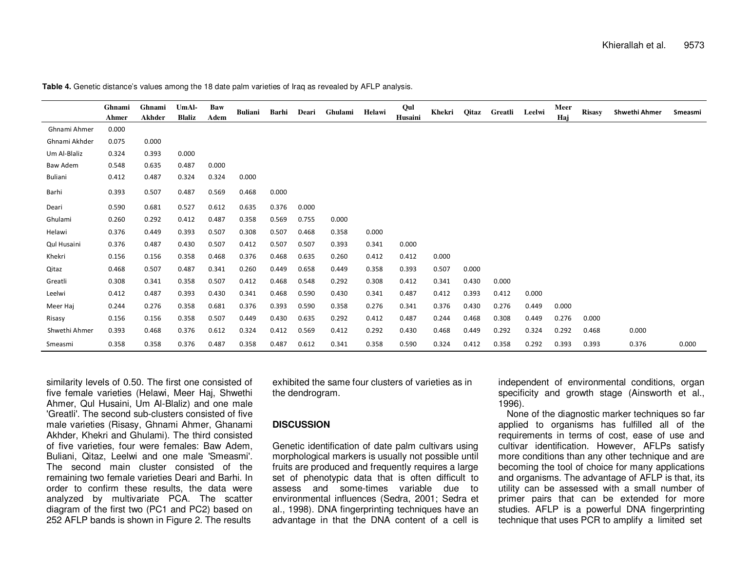|               | Ghnami | Ghnami | UmAl-         | Baw   | Buliani | Barhi | Deari | Ghulami | Helawi | Qul     | Khekri | Qitaz | Greatli | Leelwi | Meer  | <b>Risasy</b> | <b>Shwethi Ahmer</b> | Smeasmi |
|---------------|--------|--------|---------------|-------|---------|-------|-------|---------|--------|---------|--------|-------|---------|--------|-------|---------------|----------------------|---------|
|               | Ahmer  | Akhder | <b>Blaliz</b> | Adem  |         |       |       |         |        | Husaini |        |       |         |        | Haj   |               |                      |         |
| Ghnami Ahmer  | 0.000  |        |               |       |         |       |       |         |        |         |        |       |         |        |       |               |                      |         |
| Ghnami Akhder | 0.075  | 0.000  |               |       |         |       |       |         |        |         |        |       |         |        |       |               |                      |         |
| Um Al-Blaliz  | 0.324  | 0.393  | 0.000         |       |         |       |       |         |        |         |        |       |         |        |       |               |                      |         |
| Baw Adem      | 0.548  | 0.635  | 0.487         | 0.000 |         |       |       |         |        |         |        |       |         |        |       |               |                      |         |
| Buliani       | 0.412  | 0.487  | 0.324         | 0.324 | 0.000   |       |       |         |        |         |        |       |         |        |       |               |                      |         |
| Barhi         | 0.393  | 0.507  | 0.487         | 0.569 | 0.468   | 0.000 |       |         |        |         |        |       |         |        |       |               |                      |         |
| Deari         | 0.590  | 0.681  | 0.527         | 0.612 | 0.635   | 0.376 | 0.000 |         |        |         |        |       |         |        |       |               |                      |         |
| Ghulami       | 0.260  | 0.292  | 0.412         | 0.487 | 0.358   | 0.569 | 0.755 | 0.000   |        |         |        |       |         |        |       |               |                      |         |
| Helawi        | 0.376  | 0.449  | 0.393         | 0.507 | 0.308   | 0.507 | 0.468 | 0.358   | 0.000  |         |        |       |         |        |       |               |                      |         |
| Qul Husaini   | 0.376  | 0.487  | 0.430         | 0.507 | 0.412   | 0.507 | 0.507 | 0.393   | 0.341  | 0.000   |        |       |         |        |       |               |                      |         |
| Khekri        | 0.156  | 0.156  | 0.358         | 0.468 | 0.376   | 0.468 | 0.635 | 0.260   | 0.412  | 0.412   | 0.000  |       |         |        |       |               |                      |         |
| Qitaz         | 0.468  | 0.507  | 0.487         | 0.341 | 0.260   | 0.449 | 0.658 | 0.449   | 0.358  | 0.393   | 0.507  | 0.000 |         |        |       |               |                      |         |
| Greatli       | 0.308  | 0.341  | 0.358         | 0.507 | 0.412   | 0.468 | 0.548 | 0.292   | 0.308  | 0.412   | 0.341  | 0.430 | 0.000   |        |       |               |                      |         |
| Leelwi        | 0.412  | 0.487  | 0.393         | 0.430 | 0.341   | 0.468 | 0.590 | 0.430   | 0.341  | 0.487   | 0.412  | 0.393 | 0.412   | 0.000  |       |               |                      |         |
| Meer Haj      | 0.244  | 0.276  | 0.358         | 0.681 | 0.376   | 0.393 | 0.590 | 0.358   | 0.276  | 0.341   | 0.376  | 0.430 | 0.276   | 0.449  | 0.000 |               |                      |         |
| Risasy        | 0.156  | 0.156  | 0.358         | 0.507 | 0.449   | 0.430 | 0.635 | 0.292   | 0.412  | 0.487   | 0.244  | 0.468 | 0.308   | 0.449  | 0.276 | 0.000         |                      |         |
| Shwethi Ahmer | 0.393  | 0.468  | 0.376         | 0.612 | 0.324   | 0.412 | 0.569 | 0.412   | 0.292  | 0.430   | 0.468  | 0.449 | 0.292   | 0.324  | 0.292 | 0.468         | 0.000                |         |
| Smeasmi       | 0.358  | 0.358  | 0.376         | 0.487 | 0.358   | 0.487 | 0.612 | 0.341   | 0.358  | 0.590   | 0.324  | 0.412 | 0.358   | 0.292  | 0.393 | 0.393         | 0.376                | 0.000   |

**Table 4.** Genetic distance's values among the 18 date palm varieties of Iraq as revealed by AFLP analysis.

similarity levels of 0.50. The first one consisted of five female varieties (Helawi, Meer Haj, Shwethi Ahmer, Qul Husaini, Um Al-Blaliz) and one male 'Greatli'. The second sub-clusters consisted of five male varieties (Risasy, Ghnami Ahmer, Ghanami Akhder, Khekri and Ghulami). The third consisted of five varieties, four were females: Baw Adem, Buliani, Qitaz, Leelwi and one male 'Smeasmi'. The second main cluster consisted of the remaining two female varieties Deari and Barhi. In order to confirm these results, the data were analyzed by multivariate PCA. The scatter diagram of the first two (PC1 and PC2) based on 252 AFLP bands is shown in Figure 2. The results

exhibited the same four clusters of varieties as in the dendrogram.

# **DISCUSSION**

Genetic identification of date palm cultivars using morphological markers is usually not possible until fruits are produced and frequently requires a large set of phenotypic data that is often difficult to assess and some-times variable due to environmental influences (Sedra, 2001; Sedra et al., 1998). DNA fingerprinting techniques have an advantage in that the DNA content of a cell is independent of environmental conditions, organ specificity and growth stage (Ainsworth et al., 1996).

 None of the diagnostic marker techniques so far applied to organisms has fulfilled all of the requirements in terms of cost, ease of use and cultivar identification. However, AFLPs satisfy more conditions than any other technique and are becoming the tool of choice for many applications and organisms. The advantage of AFLP is that, its utility can be assessed with a small number of primer pairs that can be extended for more studies. AFLP is a powerful DNA fingerprinting technique that uses PCR to amplify a limited set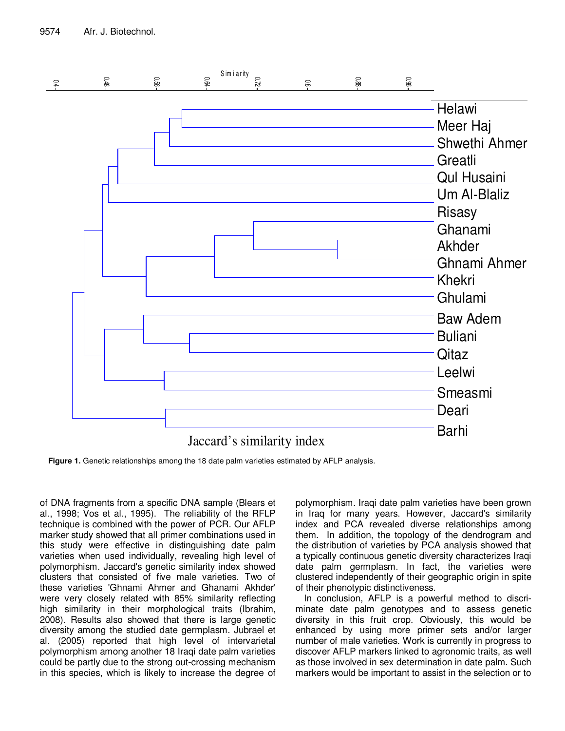

**Figure 1.** Genetic relationships among the 18 date palm varieties estimated by AFLP analysis.

of DNA fragments from a specific DNA sample (Blears et al., 1998; Vos et al., 1995). The reliability of the RFLP technique is combined with the power of PCR. Our AFLP marker study showed that all primer combinations used in this study were effective in distinguishing date palm varieties when used individually, revealing high level of polymorphism. Jaccard's genetic similarity index showed clusters that consisted of five male varieties. Two of these varieties 'Ghnami Ahmer and Ghanami Akhder' were very closely related with 85% similarity reflecting high similarity in their morphological traits (Ibrahim, 2008). Results also showed that there is large genetic diversity among the studied date germplasm. Jubrael et al. (2005) reported that high level of intervarietal polymorphism among another 18 Iraqi date palm varieties could be partly due to the strong out-crossing mechanism in this species, which is likely to increase the degree of

polymorphism. Iraqi date palm varieties have been grown in Iraq for many years. However, Jaccard's similarity index and PCA revealed diverse relationships among them. In addition, the topology of the dendrogram and the distribution of varieties by PCA analysis showed that a typically continuous genetic diversity characterizes Iraqi date palm germplasm. In fact, the varieties were clustered independently of their geographic origin in spite of their phenotypic distinctiveness.

In conclusion, AFLP is a powerful method to discriminate date palm genotypes and to assess genetic diversity in this fruit crop. Obviously, this would be enhanced by using more primer sets and/or larger number of male varieties. Work is currently in progress to discover AFLP markers linked to agronomic traits, as well as those involved in sex determination in date palm. Such markers would be important to assist in the selection or to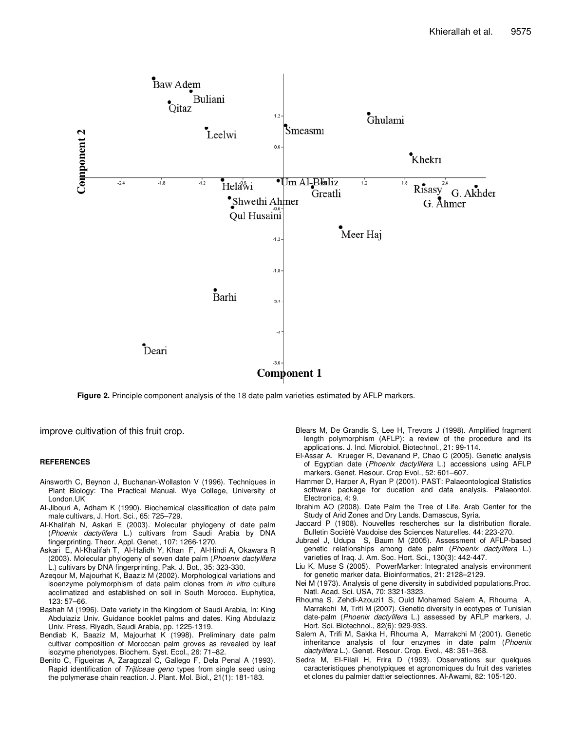

**Figure 2.** Principle component analysis of the 18 date palm varieties estimated by AFLP markers.

improve cultivation of this fruit crop.

#### **REFERENCES**

- Ainsworth C, Beynon J, Buchanan-Wollaston V (1996). Techniques in Plant Biology: The Practical Manual. Wye College, University of London.UK
- Al-Jibouri A, Adham K (1990). Biochemical classification of date palm male cultivars, J. Hort. Sci., 65: 725–729.
- Al-Khalifah N, Askari E (2003). Molecular phylogeny of date palm (Phoenix dactylifera L.) cultivars from Saudi Arabia by DNA fingerprinting. Theor. Appl. Genet., 107: 1266-1270.
- Askari E, Al-Khalifah T, Al-Hafidh Y, Khan F, Al-Hindi A, Okawara R (2003). Molecular phylogeny of seven date palm (Phoenix dactylifera L.) cultivars by DNA fingerprinting, Pak. J. Bot., 35: 323-330.
- Azeqour M, Majourhat K, Baaziz M (2002). Morphological variations and isoenzyme polymorphism of date palm clones from in vitro culture acclimatized and established on soil in South Morocco. Euphytica, 123: 57–66.
- Bashah M (1996). Date variety in the Kingdom of Saudi Arabia, In: King Abdulaziz Univ. Guidance booklet palms and dates. King Abdulaziz Univ. Press, Riyadh, Saudi Arabia, pp. 1225-1319.
- Bendiab K, Baaziz M, Majourhat K (1998). Preliminary date palm cultivar composition of Moroccan palm groves as revealed by leaf isozyme phenotypes. Biochem. Syst. Ecol., 26: 71–82.
- Benito C, Figueiras A, Zaragozal C, Gallego F, Dela Penal A (1993). Rapid identification of Trijticeae geno types from single seed using the polymerase chain reaction. J. Plant. Mol. Biol., 21(1): 181-183.
- Blears M, De Grandis S, Lee H, Trevors J (1998). Amplified fragment length polymorphism (AFLP): a review of the procedure and its applications. J. Ind. Microbiol. Biotechnol., 21: 99-114.
- El-Assar A. Krueger R, Devanand P, Chao C (2005). Genetic analysis of Egyptian date (Phoenix dactylifera L.) accessions using AFLP markers. Genet. Resour. Crop Evol., 52: 601–607.
- Hammer D, Harper A, Ryan P (2001). PAST: Palaeontological Statistics software package for ducation and data analysis. Palaeontol. Electronica, 4: 9.
- Ibrahim AO (2008). Date Palm the Tree of Life. Arab Center for the Study of Arid Zones and Dry Lands. Damascus, Syria.
- Jaccard P (1908). Nouvelles rescherches sur la distribution florale. Bulletin Sociètè Vaudoise des Sciences Naturelles. 44: 223-270.
- Jubrael J, Udupa S, Baum M (2005). Assessment of AFLP-based genetic relationships among date palm (Phoenix dactylifera L.) varieties of Iraq. J. Am. Soc. Hort. Sci., 130(3): 442-447.
- Liu K, Muse S (2005). PowerMarker: Integrated analysis environment for genetic marker data. Bioinformatics, 21: 2128–2129.
- Nei M (1973). Analysis of gene diversity in subdivided populations.Proc. Natl. Acad. Sci. USA, 70: 3321-3323.
- Rhouma S, Zehdi-Azouzi1 S, Ould Mohamed Salem A, Rhouma A, Marrakchi M, Trifi M (2007). Genetic diversity in ecotypes of Tunisian date-palm (Phoenix dactylifera L.) assessed by AFLP markers, J. Hort. Sci. Biotechnol., 82(6): 929-933.
- Salem A, Trifi M, Sakka H, Rhouma A, Marrakchi M (2001). Genetic inheritance analysis of four enzymes in date palm (Phoenix dactylifera L.). Genet. Resour. Crop. Evol., 48: 361–368.
- Sedra M, El-Filali H, Frira D (1993). Observations sur quelques caracteristiques phenotypiques et agronomiques du fruit des varietes et clones du palmier dattier selectionnes. Al-Awami, 82: 105-120.